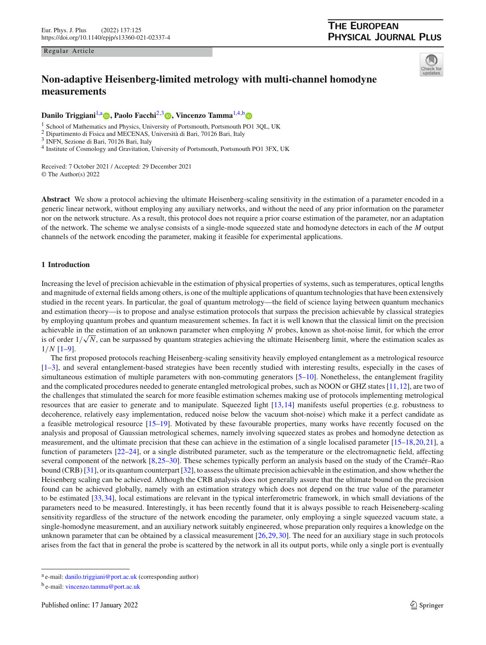#### Regular Article

## <span id="page-0-1"></span><span id="page-0-0"></span>**THE EUROPEAN PHYSICAL JOURNAL PLUS**



# **Non-adaptive Heisenberg-limited metrology with multi-channel homodyne measurements**

**Danilo Triggiani<sup>[1,](#page-0-0)a</sup> <[b](https://orcid.org/0000-0002-1963-3057)>p**[,](https://orcid.org/0000-0001-9152-6515) Paolo Facchi<sup>[2](#page-0-0)[,3](#page-0-1)</sup> **p**, Vincenzo Tamma<sup>1,[4,](#page-0-2)b</sup> **p** 

<sup>1</sup> School of Mathematics and Physics, University of Portsmouth, Portsmouth PO1 3QL, UK

<sup>2</sup> Dipartimento di Fisica and MECENAS, Università di Bari, 70126 Bari, Italy

<span id="page-0-2"></span><sup>3</sup> INFN, Sezione di Bari, 70126 Bari, Italy

<sup>4</sup> Institute of Cosmology and Gravitation, University of Portsmouth, Portsmouth PO1 3FX, UK

Received: 7 October 2021 / Accepted: 29 December 2021 © The Author(s) 2022

**Abstract** We show a protocol achieving the ultimate Heisenberg-scaling sensitivity in the estimation of a parameter encoded in a generic linear network, without employing any auxiliary networks, and without the need of any prior information on the parameter nor on the network structure. As a result, this protocol does not require a prior coarse estimation of the parameter, nor an adaptation of the network. The scheme we analyse consists of a single-mode squeezed state and homodyne detectors in each of the *M* output channels of the network encoding the parameter, making it feasible for experimental applications.

## **1 Introduction**

Increasing the level of precision achievable in the estimation of physical properties of systems, such as temperatures, optical lengths and magnitude of external fields among others, is one of the multiple applications of quantum technologies that have been extensively studied in the recent years. In particular, the goal of quantum metrology—the field of science laying between quantum mechanics and estimation theory—is to propose and analyse estimation protocols that surpass the precision achievable by classical strategies by employing quantum probes and quantum measurement schemes. In fact it is well known that the classical limit on the precision achievable in the estimation of an unknown parameter when employing *N* probes, known as shot-noise limit, for which the error is of order  $1/\sqrt{N}$ , can be surpassed by quantum strategies achieving the ultimate Heisenberg limit, where the estimation scales as 1/*N* [\[1](#page-11-0)[–9\]](#page-11-1).

The first proposed protocols reaching Heisenberg-scaling sensitivity heavily employed entanglement as a metrological resource [\[1](#page-11-0)[–3](#page-11-2)], and several entanglement-based strategies have been recently studied with interesting results, especially in the cases of simultaneous estimation of multiple parameters with non-commuting generators [\[5](#page-11-3)[–10](#page-11-4)]. Nonetheless, the entanglement fragility and the complicated procedures needed to generate entangled metrological probes, such as NOON or GHZ states [\[11,](#page-11-5)[12](#page-11-6)], are two of the challenges that stimulated the search for more feasible estimation schemes making use of protocols implementing metrological resources that are easier to generate and to manipulate. Squeezed light [\[13](#page-11-7)[,14\]](#page-11-8) manifests useful properties (e.g. robustness to decoherence, relatively easy implementation, reduced noise below the vacuum shot-noise) which make it a perfect candidate as a feasible metrological resource [\[15](#page-11-9)[–19](#page-11-10)]. Motivated by these favourable properties, many works have recently focused on the analysis and proposal of Gaussian metrological schemes, namely involving squeezed states as probes and homodyne detection as measurement, and the ultimate precision that these can achieve in the estimation of a single localised parameter [\[15](#page-11-9)[–18](#page-11-11),[20](#page-12-0)[,21\]](#page-12-1), a function of parameters [\[22](#page-12-2)[–24](#page-12-3)], or a single distributed parameter, such as the temperature or the electromagnetic field, affecting several component of the network [\[8](#page-11-12)[,25](#page-12-4)[–30\]](#page-12-5). These schemes typically perform an analysis based on the study of the Cramér–Rao bound (CRB) [\[31](#page-12-6)], or its quantum counterpart [\[32](#page-12-7)], to assess the ultimate precision achievable in the estimation, and show whether the Heisenberg scaling can be achieved. Although the CRB analysis does not generally assure that the ultimate bound on the precision found can be achieved globally, namely with an estimation strategy which does not depend on the true value of the parameter to be estimated [\[33,](#page-12-8)[34](#page-12-9)], local estimations are relevant in the typical interferometric framework, in which small deviations of the parameters need to be measured. Interestingly, it has been recently found that it is always possible to reach Heiseneberg-scaling sensitivity regardless of the structure of the network encoding the parameter, only employing a single squeezed vacuum state, a single-homodyne measurement, and an auxiliary network suitably engineered, whose preparation only requires a knowledge on the unknown parameter that can be obtained by a classical measurement [\[26,](#page-12-10)[29](#page-12-11)[,30\]](#page-12-5). The need for an auxiliary stage in such protocols arises from the fact that in general the probe is scattered by the network in all its output ports, while only a single port is eventually

<sup>a</sup> e-mail: [danilo.triggiani@port.ac.uk](mailto:danilo.triggiani@port.ac.uk) (corresponding author)

<sup>b</sup> e-mail: [vincenzo.tamma@port.ac.uk](mailto:vincenzo.tamma@port.ac.uk)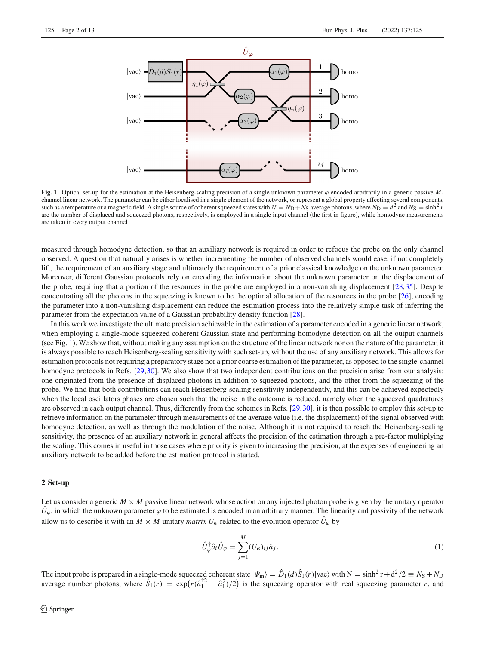

<span id="page-1-0"></span>**Fig. 1** Optical set-up for the estimation at the Heisenberg-scaling precision of a single unknown parameter  $\varphi$  encoded arbitrarily in a generic passive *M*channel linear network. The parameter can be either localised in a single element of the network, or represent a global property affecting several components, such as a temperature or a magnetic field. A single source of coherent squeezed states with  $N = N_D + N_S$  average photons, where  $N_D = d^2$  and  $N_S = \sinh^2 r$ are the number of displaced and squeezed photons, respectively, is employed in a single input channel (the first in figure), while homodyne measurements are taken in every output channel

measured through homodyne detection, so that an auxiliary network is required in order to refocus the probe on the only channel observed. A question that naturally arises is whether incrementing the number of observed channels would ease, if not completely lift, the requirement of an auxiliary stage and ultimately the requirement of a prior classical knowledge on the unknown parameter. Moreover, different Gaussian protocols rely on encoding the information about the unknown parameter on the displacement of the probe, requiring that a portion of the resources in the probe are employed in a non-vanishing displacement [\[28](#page-12-12)[,35\]](#page-12-13). Despite concentrating all the photons in the squeezing is known to be the optimal allocation of the resources in the probe  $[26]$ , encoding the parameter into a non-vanishing displacement can reduce the estimation process into the relatively simple task of inferring the parameter from the expectation value of a Gaussian probability density function [\[28](#page-12-12)].

In this work we investigate the ultimate precision achievable in the estimation of a parameter encoded in a generic linear network, when employing a single-mode squeezed coherent Gaussian state and performing homodyne detection on all the output channels (see Fig. [1\)](#page-1-0). We show that, without making any assumption on the structure of the linear network nor on the nature of the parameter, it is always possible to reach Heisenberg-scaling sensitivity with such set-up, without the use of any auxiliary network. This allows for estimation protocols not requiring a preparatory stage nor a prior coarse estimation of the parameter, as opposed to the single-channel homodyne protocols in Refs. [\[29](#page-12-11)[,30\]](#page-12-5). We also show that two independent contributions on the precision arise from our analysis: one originated from the presence of displaced photons in addition to squeezed photons, and the other from the squeezing of the probe. We find that both contributions can reach Heisenberg-scaling sensitivity independently, and this can be achieved expectedly when the local oscillators phases are chosen such that the noise in the outcome is reduced, namely when the squeezed quadratures are observed in each output channel. Thus, differently from the schemes in Refs. [\[29,](#page-12-11)[30](#page-12-5)], it is then possible to employ this set-up to retrieve information on the parameter through measurements of the average value (i.e. the displacement) of the signal observed with homodyne detection, as well as through the modulation of the noise. Although it is not required to reach the Heisenberg-scaling sensitivity, the presence of an auxiliary network in general affects the precision of the estimation through a pre-factor multiplying the scaling. This comes in useful in those cases where priority is given to increasing the precision, at the expenses of engineering an auxiliary network to be added before the estimation protocol is started.

#### **2 Set-up**

Let us consider a generic  $M \times M$  passive linear network whose action on any injected photon probe is given by the unitary operator  $U_\varphi$ , in which the unknown parameter  $\varphi$  to be estimated is encoded in an arbitrary manner. The linearity and passivity of the network allow us to describe it with an  $M \times M$  unitary *matrix*  $U_{\varphi}$  related to the evolution operator  $\hat{U}_{\varphi}$  by

$$
\hat{U}_{\varphi}^{\dagger} \hat{a}_i \hat{U}_{\varphi} = \sum_{j=1}^{M} (U_{\varphi})_{ij} \hat{a}_j.
$$
\n(1)

The input probe is prepared in a single-mode squeezed coherent state  $|\Psi_{\text{in}}\rangle = \hat{D}_1(d)\hat{S}_1(r)|\text{vac}\rangle$  with  $N = \sinh^2 r + d^2/2 \equiv N_S + N_D$ average number photons, where  $\tilde{S}_1(r) = \exp(r(\hat{a}_1^{\dagger 2} - \hat{a}_1^2)/2)$  is the squeezing operator with real squeezing parameter *r*, and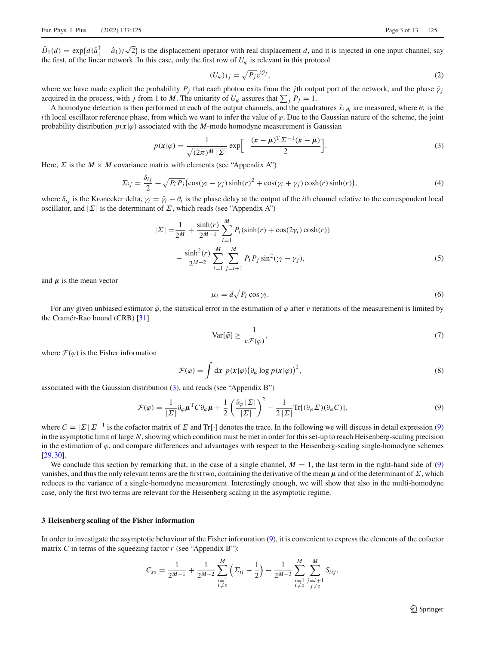$\hat{D}_1(d) = \exp\left(d(\hat{a}_1^{\dagger} - \hat{a}_1)/\sqrt{2}\right)$  is the displacement operator with real displacement *d*, and it is injected in one input channel, say the first, of the linear network. In this case, only the first row of  $U_\omega$  is relevant in this protocol

$$
(U_{\varphi})_{1j} = \sqrt{P_j} e^{i\bar{\gamma}_j},\tag{2}
$$

where we have made explicit the probability  $P_j$  that each photon exits from the *j*th output port of the network, and the phase  $\bar{\gamma}_i$ acquired in the process, with *j* from 1 to *M*. The unitarity of  $U_{\varphi}$  assures that  $\sum_j P_j = 1$ .

A homodyne detection is then performed at each of the output channels, and the quadratures  $\hat{x}_{i,\theta_i}$  are measured, where  $\theta_i$  is the *i*th local oscillator reference phase, from which we want to infer the value of  $\varphi$ . Due to the Gaussian nature of the scheme, the joint probability distribution  $p(x|\varphi)$  associated with the *M*-mode homodyne measurement is Gaussian

<span id="page-2-0"></span>
$$
p(\mathbf{x}|\varphi) = \frac{1}{\sqrt{(2\pi)^M |\Sigma|}} \exp\left[-\frac{(\mathbf{x} - \boldsymbol{\mu})^{\mathrm{T}} \Sigma^{-1} (\mathbf{x} - \boldsymbol{\mu})}{2}\right].
$$
 (3)

Here,  $\Sigma$  is the  $M \times M$  covariance matrix with elements (see "Appendix A")

<span id="page-2-2"></span>
$$
\Sigma_{ij} = \frac{\delta_{ij}}{2} + \sqrt{P_i P_j} \left( \cos(\gamma_i - \gamma_j) \sinh(r)^2 + \cos(\gamma_i + \gamma_j) \cosh(r) \sinh(r) \right),\tag{4}
$$

where  $\delta_{ij}$  is the Kronecker delta,  $\gamma_i = \bar{\gamma}_i - \theta_i$  is the phase delay at the output of the *i*th channel relative to the correspondent local oscillator, and  $|\Sigma|$  is the determinant of  $\Sigma$ , which reads (see "Appendix A")

$$
|\Sigma| = \frac{1}{2^M} + \frac{\sinh(r)}{2^{M-1}} \sum_{i=1}^M P_i(\sinh(r) + \cos(2\gamma_i)\cosh(r)) - \frac{\sinh^2(r)}{2^{M-2}} \sum_{i=1}^M \sum_{j=i+1}^M P_i P_j \sin^2(\gamma_i - \gamma_j),
$$
\n(5)

and  $\mu$  is the mean vector

<span id="page-2-5"></span><span id="page-2-3"></span>
$$
\mu_i = d\sqrt{P_i} \cos \gamma_i. \tag{6}
$$

For any given unbiased estimator  $\tilde{\varphi}$ , the statistical error in the estimation of  $\varphi$  after  $\nu$  iterations of the measurement is limited by the Cramér-Rao bound (CRB) [\[31\]](#page-12-6)

<span id="page-2-4"></span><span id="page-2-1"></span>
$$
\text{Var}[\tilde{\varphi}] \ge \frac{1}{\nu \mathcal{F}(\varphi)},\tag{7}
$$

where  $\mathcal{F}(\varphi)$  is the Fisher information

<span id="page-2-6"></span>
$$
\mathcal{F}(\varphi) = \int \mathrm{d}x \ p(x|\varphi) \big(\partial_{\varphi} \log p(x|\varphi)\big)^2,\tag{8}
$$

associated with the Gaussian distribution [\(3\)](#page-2-0), and reads (see "Appendix B")

$$
\mathcal{F}(\varphi) = \frac{1}{|\Sigma|} \partial_{\varphi} \mu^{\mathrm{T}} C \partial_{\varphi} \mu + \frac{1}{2} \left( \frac{\partial_{\varphi} |\Sigma|}{|\Sigma|} \right)^2 - \frac{1}{2 |\Sigma|} \mathrm{Tr}[(\partial_{\varphi} \Sigma)(\partial_{\varphi} C)],\tag{9}
$$

where  $C = |\Sigma| \Sigma^{-1}$  is the cofactor matrix of  $\Sigma$  and Tr[·] denotes the trace. In the following we will discuss in detail expression [\(9\)](#page-2-1) in the asymptotic limit of large *N*, showing which condition must be met in order for this set-up to reach Heisenberg-scaling precision in the estimation of  $\varphi$ , and compare differences and advantages with respect to the Heisenberg-scaling single-homodyne schemes [\[29](#page-12-11)[,30\]](#page-12-5).

We conclude this section by remarking that, in the case of a single channel,  $M = 1$ , the last term in the right-hand side of [\(9\)](#page-2-1) vanishes, and thus the only relevant terms are the first two, containing the derivative of the mean  $\mu$  and of the determinant of  $\Sigma$ , which reduces to the variance of a single-homodyne measurement. Interestingly enough, we will show that also in the multi-homodyne case, only the first two terms are relevant for the Heisenberg scaling in the asymptotic regime.

#### **3 Heisenberg scaling of the Fisher information**

In order to investigate the asymptotic behaviour of the Fisher information [\(9\)](#page-2-1), it is convenient to express the elements of the cofactor matrix *C* in terms of the squeezing factor *r* (see "Appendix B"):

$$
C_{ss} = \frac{1}{2^{M-1}} + \frac{1}{2^{M-2}} \sum_{\substack{i=1 \ i \neq s}}^{M} \left( \Sigma_{ii} - \frac{1}{2} \right) - \frac{1}{2^{M-3}} \sum_{\substack{i=1 \ i \neq s}}^{M} \sum_{\substack{j=i+1 \ j \neq s}}^{M} S_{iij},
$$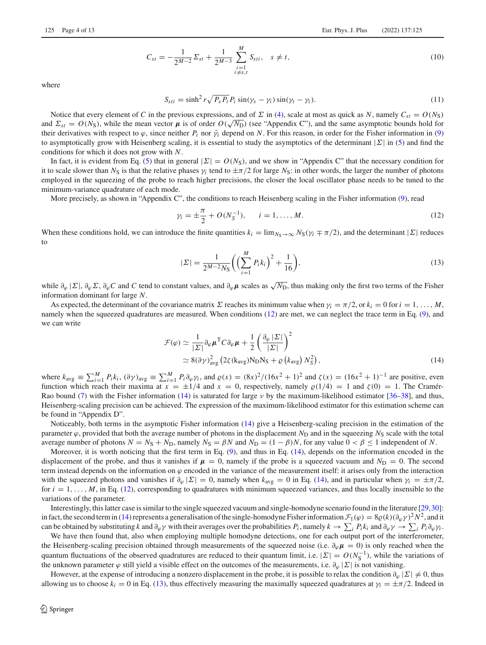$$
C_{st} = -\frac{1}{2^{M-2}} \Sigma_{st} + \frac{1}{2^{M-3}} \sum_{\substack{i=1 \ i \neq s,t}}^{M} S_{sti}, \quad s \neq t,
$$
\n(10)

where

<span id="page-3-4"></span><span id="page-3-3"></span>
$$
S_{sti} = \sinh^2 r \sqrt{P_s P_t} P_i \sin(\gamma_s - \gamma_i) \sin(\gamma_t - \gamma_i). \tag{11}
$$

Notice that every element of *C* in the previous expressions, and of  $\Sigma$  in [\(4\)](#page-2-2), scale at most as quick as *N*, namely  $C_{st} = O(N_S)$ and  $\Sigma_{st} = O(N_S)$ , while the mean vector  $\mu$  is of order  $O(\sqrt{N_D})$  (see "Appendix C"), and the same asymptotic bounds hold for their derivatives with respect to  $\varphi$ , since neither  $P_i$  nor  $\bar{\gamma}_i$  depend on N. For this reason, in order for the Fisher information in [\(9\)](#page-2-1) to asymptotically grow with Heisenberg scaling, it is essential to study the asymptotics of the determinant  $|\Sigma|$  in [\(5\)](#page-2-3) and find the conditions for which it does not grow with *N*.

In fact, it is evident from Eq. [\(5\)](#page-2-3) that in general  $|\Sigma| = O(N<sub>S</sub>)$ , and we show in "Appendix C" that the necessary condition for it to scale slower than  $N_S$  is that the relative phases  $\gamma_i$  tend to  $\pm \pi/2$  for large  $N_S$ : in other words, the larger the number of photons employed in the squeezing of the probe to reach higher precisions, the closer the local oscillator phase needs to be tuned to the minimum-variance quadrature of each mode.

More precisely, as shown in "Appendix C", the conditions to reach Heisenberg scaling in the Fisher information [\(9\)](#page-2-1), read

<span id="page-3-0"></span>
$$
\gamma_i = \pm \frac{\pi}{2} + O(N_S^{-1}), \qquad i = 1, \dots, M. \tag{12}
$$

When these conditions hold, we can introduce the finite quantities  $k_i = \lim_{N \to \infty} N_S(\gamma_i \mp \pi/2)$ , and the determinant  $|\Sigma|$  reduces to

<span id="page-3-2"></span><span id="page-3-1"></span>
$$
|\Sigma| = \frac{1}{2^{M-2} N_S} \left( \left( \sum_{i=1}^{M} P_i k_i \right)^2 + \frac{1}{16} \right),\tag{13}
$$

while  $\partial_{\varphi}|\Sigma|$ ,  $\partial_{\varphi}\Sigma$ ,  $\partial_{\varphi}C$  and *C* tend to constant values, and  $\partial_{\varphi}\mu$  scales as  $\sqrt{N_D}$ , thus making only the first two terms of the Fisher information dominant for large *N*.

As expected, the determinant of the covariance matrix  $\Sigma$  reaches its minimum value when  $\gamma_i = \pi/2$ , or  $k_i = 0$  for  $i = 1, \ldots, M$ , namely when the squeezed quadratures are measured. When conditions [\(12\)](#page-3-0) are met, we can neglect the trace term in Eq. [\(9\)](#page-2-1), and we can write

$$
\mathcal{F}(\varphi) \simeq \frac{1}{|\Sigma|} \partial_{\varphi} \mu^{T} C \partial_{\varphi} \mu + \frac{1}{2} \left( \frac{\partial_{\varphi} |\Sigma|}{|\Sigma|} \right)^{2} \simeq 8(\partial \gamma)_{avg}^{2} \left( 2\zeta (k_{avg}) N_{D} N_{S} + \varrho (k_{avg}) N_{S}^{2} \right), \qquad (14)
$$

where  $k_{avg} \equiv \sum_{i=1}^{M} P_i k_i$ ,  $(\partial \gamma)_{avg} \equiv \sum_{i=1}^{M} P_i \partial \varphi \gamma_i$ , and  $\varrho(x) = (8x)^2/(16x^2 + 1)^2$  and  $\zeta(x) = (16x^2 + 1)^{-1}$  are positive, even function which reach their maxima at  $x = \pm 1/4$  and  $x = 0$ , respectively, namely  $\varrho(1/4) = 1$  and  $\zeta(0) = 1$ . The Cramér-Rao bound [\(7\)](#page-2-4) with the Fisher information [\(14\)](#page-3-1) is saturated for large  $\nu$  by the maximum-likelihood estimator [\[36](#page-12-14)[–38\]](#page-12-15), and thus, Heisenberg-scaling precision can be achieved. The expression of the maximum-likelihood estimator for this estimation scheme can be found in "Appendix D".

Noticeably, both terms in the asymptotic Fisher information [\(14\)](#page-3-1) give a Heisenberg-scaling precision in the estimation of the parameter  $\varphi$ , provided that both the average number of photons in the displacement  $N_D$  and in the squeezing  $N_S$  scale with the total average number of photons  $N = N_S + N_D$ , namely  $N_S = \beta N$  and  $N_D = (1 - \beta)N$ , for any value  $0 < \beta \le 1$  independent of *N*.

Moreover, it is worth noticing that the first term in Eq. [\(9\)](#page-2-1), and thus in Eq. [\(14\)](#page-3-1), depends on the information encoded in the displacement of the probe, and thus it vanishes if  $\mu = 0$ , namely if the probe is a squeezed vacuum and  $N_D = 0$ . The second term instead depends on the information on  $\varphi$  encoded in the variance of the measurement itself: it arises only from the interaction with the squeezed photons and vanishes if  $\partial_{\varphi} |\Sigma| = 0$ , namely when  $k_{\text{avg}} = 0$  in Eq. [\(14\)](#page-3-1), and in particular when  $\gamma_i = \pm \pi/2$ , for  $i = 1, \ldots, M$ , in Eq. [\(12\)](#page-3-0), corresponding to quadratures with minimum squeezed variances, and thus locally insensible to the variations of the parameter.

Interestingly, this latter case is similar to the single squeezed vacuum and single-homodyne scenario found in the literature [\[29,](#page-12-11)[30](#page-12-5)]: in fact, the second term in [\(14\)](#page-3-1) represents a generalisation of the single-homodyne Fisher information  $\mathcal{F}_1(\varphi) = 8\rho(k)(\partial_\varphi \gamma)^2 N^2$ , and it can be obtained by substituting *k* and  $\partial_{\varphi} \gamma$  with their averages over the probabilities  $P_i$ , namely  $k \to \sum_i P_i k_i$  and  $\partial_{\varphi} \gamma \to \sum_i P_i \partial_{\varphi} \gamma_i$ .

We have then found that, also when employing multiple homodyne detections, one for each output port of the interferometer, the Heisenberg-scaling precision obtained through measurements of the squeezed noise (i.e.  $\partial_{\varphi} \mu = 0$ ) is only reached when the quantum fluctuations of the observed quadratures are reduced to their quantum limit, i.e.  $|\Sigma| = O(N_S^{-1})$ , while the variations of the unknown parameter  $\varphi$  still yield a visible effect on the outcomes of the measurements, i.e.  $\partial_{\varphi}|\Sigma|$  is not vanishing.

However, at the expense of introducing a nonzero displacement in the probe, it is possible to relax the condition  $\partial_{\varphi} |\Sigma| \neq 0$ , thus allowing us to choose  $k_i = 0$  in Eq. [\(13\)](#page-3-2), thus effectively measuring the maximally squeezed quadratures at  $\gamma_i = \pm \pi/2$ . Indeed in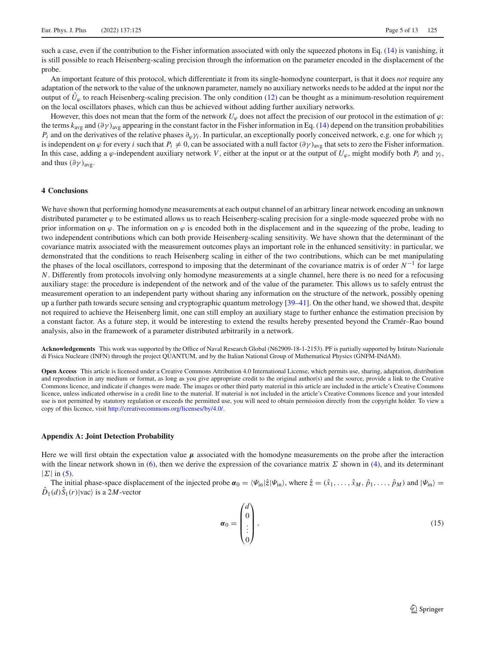such a case, even if the contribution to the Fisher information associated with only the squeezed photons in Eq. [\(14\)](#page-3-1) is vanishing, it is still possible to reach Heisenberg-scaling precision through the information on the parameter encoded in the displacement of the probe.

An important feature of this protocol, which differentiate it from its single-homodyne counterpart, is that it does *not* require any adaptation of the network to the value of the unknown parameter, namely no auxiliary networks needs to be added at the input nor the output of  $\hat{U}_{\varphi}$  to reach Heisenberg-scaling precision. The only condition [\(12\)](#page-3-0) can be thought as a minimum-resolution requirement on the local oscillators phases, which can thus be achieved without adding further auxiliary networks.

However, this does not mean that the form of the network  $U_\varphi$  does not affect the precision of our protocol in the estimation of  $\varphi$ : the terms  $k_{\text{avg}}$  and  $(\partial \gamma)_{\text{avg}}$  appearing in the constant factor in the Fisher information in Eq. [\(14\)](#page-3-1) depend on the transition probabilities  $P_i$  and on the derivatives of the relative phases  $\partial_\omega \gamma_i$ . In particular, an exceptionally poorly conceived network, e.g. one for which  $\gamma_i$ is independent on  $\varphi$  for every *i* such that  $P_i \neq 0$ , can be associated with a null factor  $(\partial \gamma)_{avg}$  that sets to zero the Fisher information. In this case, adding a  $\varphi$ -independent auxiliary network *V*, either at the input or at the output of  $U_{\varphi}$ , might modify both  $P_i$  and  $\gamma_i$ , and thus  $(\partial \gamma)_{\text{avg}}$ .

## **4 Conclusions**

We have shown that performing homodyne measurements at each output channel of an arbitrary linear network encoding an unknown distributed parameter  $\varphi$  to be estimated allows us to reach Heisenberg-scaling precision for a single-mode squeezed probe with no prior information on  $\varphi$ . The information on  $\varphi$  is encoded both in the displacement and in the squeezing of the probe, leading to two independent contributions which can both provide Heisenberg-scaling sensitivity. We have shown that the determinant of the covariance matrix associated with the measurement outcomes plays an important role in the enhanced sensitivity: in particular, we demonstrated that the conditions to reach Heisenberg scaling in either of the two contributions, which can be met manipulating the phases of the local oscillators, correspond to imposing that the determinant of the covariance matrix is of order *N*−<sup>1</sup> for large *N*. Differently from protocols involving only homodyne measurements at a single channel, here there is no need for a refocusing auxiliary stage: the procedure is independent of the network and of the value of the parameter. This allows us to safely entrust the measurement operation to an independent party without sharing any information on the structure of the network, possibly opening up a further path towards secure sensing and cryptographic quantum metrology [\[39](#page-12-16)[–41\]](#page-12-17). On the other hand, we showed that, despite not required to achieve the Heisenberg limit, one can still employ an auxiliary stage to further enhance the estimation precision by a constant factor. As a future step, it would be interesting to extend the results hereby presented beyond the Cramér–Rao bound analysis, also in the framework of a parameter distributed arbitrarily in a network.

**Acknowledgements** This work was supported by the Office of Naval Research Global (N62909-18-1-2153). PF is partially supported by Istituto Nazionale di Fisica Nucleare (INFN) through the project QUANTUM, and by the Italian National Group of Mathematical Physics (GNFM-INdAM).

**Open Access** This article is licensed under a Creative Commons Attribution 4.0 International License, which permits use, sharing, adaptation, distribution and reproduction in any medium or format, as long as you give appropriate credit to the original author(s) and the source, provide a link to the Creative Commons licence, and indicate if changes were made. The images or other third party material in this article are included in the article's Creative Commons licence, unless indicated otherwise in a credit line to the material. If material is not included in the article's Creative Commons licence and your intended use is not permitted by statutory regulation or exceeds the permitted use, you will need to obtain permission directly from the copyright holder. To view a copy of this licence, visit [http://creativecommons.org/licenses/by/4.0/.](http://creativecommons.org/licenses/by/4.0/)

## **Appendix A: Joint Detection Probability**

Here we will first obtain the expectation value *μ* associated with the homodyne measurements on the probe after the interaction with the linear network shown in [\(6\)](#page-2-5), then we derive the expression of the covariance matrix  $\Sigma$  shown in [\(4\)](#page-2-2), and its determinant  $|\Sigma|$  in [\(5\)](#page-2-3).

The initial phase-space displacement of the injected probe  $\alpha_0 = \langle \Psi_{\text{in}} | \hat{z} | \Psi_{\text{in}} \rangle$ , where  $\hat{z} = (\hat{x}_1, \dots, \hat{x}_M, \hat{p}_1, \dots, \hat{p}_M)$  and  $| \Psi_{\text{in}} \rangle$  $D_1(d)S_1(r)$ |vac $\rangle$  is a 2*M*-vector

$$
\boldsymbol{\alpha}_0 = \begin{pmatrix} d \\ 0 \\ \vdots \\ 0 \end{pmatrix}, \tag{15}
$$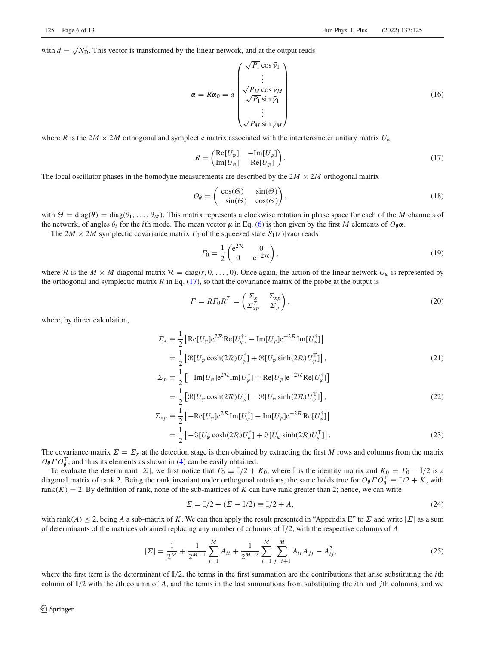with  $d = \sqrt{N_D}$ . This vector is transformed by the linear network, and at the output reads

$$
\alpha = R\alpha_0 = d \begin{pmatrix} \sqrt{P_1} \cos \bar{\gamma}_1 \\ \vdots \\ \sqrt{P_M} \cos \bar{\gamma}_M \\ \sqrt{P_1} \sin \bar{\gamma}_1 \\ \vdots \\ \sqrt{P_M} \sin \bar{\gamma}_M \end{pmatrix}
$$
(16)

where *R* is the 2*M*  $\times$  2*M* orthogonal and symplectic matrix associated with the interferometer unitary matrix  $U_{\varphi}$ 

<span id="page-5-0"></span>
$$
R = \begin{pmatrix} \text{Re}[U_{\varphi}] & -\text{Im}[U_{\varphi}] \\ \text{Im}[U_{\varphi}] & \text{Re}[U_{\varphi}] \end{pmatrix} . \tag{17}
$$

The local oscillator phases in the homodyne measurements are described by the  $2M \times 2M$  orthogonal matrix

$$
O_{\theta} = \begin{pmatrix} \cos(\Theta) & \sin(\Theta) \\ -\sin(\Theta) & \cos(\Theta) \end{pmatrix},\tag{18}
$$

with  $\Theta = \text{diag}(\theta) = \text{diag}(\theta_1, \dots, \theta_M)$ . This matrix represents a clockwise rotation in phase space for each of the *M* channels of the network, of angles  $θ_i$  for the *i*th mode. The mean vector  $\mu$  in Eq. [\(6\)](#page-2-5) is then given by the first *M* elements of  $O_{\theta}α$ .

The  $2M \times 2M$  symplectic covariance matrix  $\Gamma_0$  of the squeezed state  $S_1(r)$ |vac $\rangle$  reads

$$
\Gamma_0 = \frac{1}{2} \begin{pmatrix} e^{2\mathcal{R}} & 0\\ 0 & e^{-2\mathcal{R}} \end{pmatrix},\tag{19}
$$

where  $\mathcal R$  is the  $M \times M$  diagonal matrix  $\mathcal R = \text{diag}(r, 0, \ldots, 0)$ . Once again, the action of the linear network  $U_\varphi$  is represented by the orthogonal and symplectic matrix  $R$  in Eq. [\(17\)](#page-5-0), so that the covariance matrix of the probe at the output is

$$
\Gamma = R\Gamma_0 R^T = \begin{pmatrix} \Sigma_x & \Sigma_{xp} \\ \Sigma_{xp}^T & \Sigma_p \end{pmatrix},\tag{20}
$$

where, by direct calculation,

$$
\Sigma_x \equiv \frac{1}{2} \left[ \text{Re}[U_{\varphi}] e^{2\mathcal{R}} \text{Re}[U_{\varphi}^{\dagger}] - \text{Im}[U_{\varphi}] e^{-2\mathcal{R}} \text{Im}[U_{\varphi}^{\dagger}] \right]
$$
  
\n
$$
= \frac{1}{2} \left[ \Re[U_{\varphi} \cosh(2\mathcal{R}) U_{\varphi}^{\dagger}] + \Re[U_{\varphi} \sinh(2\mathcal{R}) U_{\varphi}^{\dagger}] \right],
$$
  
\n
$$
\Sigma_p \equiv \frac{1}{2} \left[ -\text{Im}[U_{\varphi}] e^{2\mathcal{R}} \text{Im}[U_{\varphi}^{\dagger}] + \text{Re}[U_{\varphi}] e^{-2\mathcal{R}} \text{Re}[U_{\varphi}^{\dagger}] \right]
$$
 (21)

$$
\Sigma_p \equiv \frac{1}{2} \left[ -\text{Im}[U_\varphi] e^{-\gamma} \text{Im}[U_\varphi'] + \text{Re}[U_\varphi] e^{-\gamma} \text{Re}[U_\varphi'] \right]
$$
  
\n
$$
= \frac{1}{2} \left[ \Re[U_\varphi \cosh(2\mathcal{R}) U_\varphi^\dagger] - \Re[U_\varphi \sinh(2\mathcal{R}) U_\varphi^\dagger] \right],
$$
  
\n
$$
\Sigma_{xp} \equiv \frac{1}{2} \left[ -\text{Re}[U_\varphi] e^{2\mathcal{R}} \text{Im}[U_\varphi^\dagger] - \text{Im}[U_\varphi] e^{-2\mathcal{R}} \text{Re}[U_\varphi^\dagger] \right]
$$
  
\n
$$
= \frac{1}{2} \left[ -\Im[U_\varphi \cosh(2\mathcal{R}) U_\varphi^\dagger] + \Im[U_\varphi \sinh(2\mathcal{R}) U_\varphi^\dagger] \right].
$$
\n(23)

The covariance matrix  $\Sigma = \Sigma_x$  at the detection stage is then obtained by extracting the first *M* rows and columns from the matrix  $O_{\theta} \Gamma O_{\theta}^{T}$ , and thus its elements as shown in [\(4\)](#page-2-2) can be easily obtained.

To evaluate the determinant  $|\Sigma|$ , we first notice that  $\Gamma_0 = \mathbb{I}/2 + K_0$ , where  $\mathbb{I}$  is the identity matrix and  $K_0 = \Gamma_0 - \mathbb{I}/2$  is a diagonal matrix of rank 2. Being the rank invariant under orthogonal rotations, the same holds true for  $O_{\theta} \Gamma O_{\theta}^{T} = \mathbb{I}/2 + K$ , with rank $(K) = 2$ . By definition of rank, none of the sub-matrices of K can have rank greater than 2; hence, we can write

$$
\Sigma = \mathbb{I}/2 + (\Sigma - \mathbb{I}/2) \equiv \mathbb{I}/2 + A,\tag{24}
$$

with rank(*A*)  $\leq$  2, being *A* a sub-matrix of *K*. We can then apply the result presented in "Appendix E" to  $\Sigma$  and write  $|\Sigma|$  as a sum of determinants of the matrices obtained replacing any number of columns of I/2, with the respective columns of *A*

$$
|\Sigma| = \frac{1}{2^M} + \frac{1}{2^{M-1}} \sum_{i=1}^M A_{ii} + \frac{1}{2^{M-2}} \sum_{i=1}^M \sum_{j=i+1}^M A_{ii} A_{jj} - A_{ij}^2,
$$
 (25)

where the first term is the determinant of  $\mathbb{I}/2$ , the terms in the first summation are the contributions that arise substituting the *i*th column of I/2 with the *i*th column of *A*, and the terms in the last summations from substituting the *i*th and *j*th columns, and we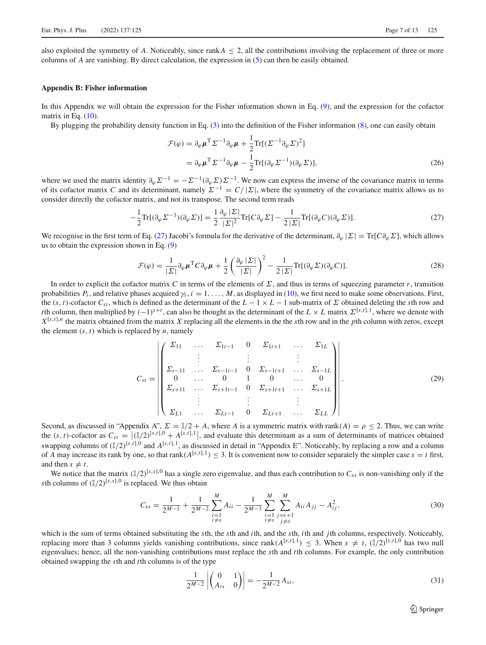also exploited the symmetry of A. Noticeably, since rank $A \leq 2$ , all the contributions involving the replacement of three or more columns of *A* are vanishing. By direct calculation, the expression in [\(5\)](#page-2-3) can then be easily obtained.

## **Appendix B: Fisher information**

In this Appendix we will obtain the expression for the Fisher information shown in Eq. [\(9\)](#page-2-1), and the expression for the cofactor matrix in Eq.  $(10)$ .

By plugging the probability density function in Eq. [\(3\)](#page-2-0) into the definition of the Fisher information [\(8\)](#page-2-6), one can easily obtain

<span id="page-6-0"></span>
$$
\mathcal{F}(\varphi) = \partial_{\varphi} \mu^{T} \Sigma^{-1} \partial_{\varphi} \mu + \frac{1}{2} \text{Tr}[(\Sigma^{-1} \partial_{\varphi} \Sigma)^{2}]
$$
  
=  $\partial_{\varphi} \mu^{T} \Sigma^{-1} \partial_{\varphi} \mu - \frac{1}{2} \text{Tr}[(\partial_{\varphi} \Sigma^{-1})(\partial_{\varphi} \Sigma)],$  (26)

where we used the matrix identity  $\partial_{\varphi} \Sigma^{-1} = -\Sigma^{-1}(\partial_{\varphi} \Sigma) \Sigma^{-1}$ . We now can express the inverse of the covariance matrix in terms of its cofactor matrix *C* and its determinant, namely  $\Sigma^{-1} = C/|\Sigma|$ , where the symmetry of the covariance matrix allows us to consider directly the cofactor matrix, and not its transpose. The second term reads

$$
-\frac{1}{2}\text{Tr}[(\partial_{\varphi}\Sigma^{-1})(\partial_{\varphi}\Sigma)] = \frac{1}{2}\frac{\partial_{\varphi}|\Sigma|}{|\Sigma|^{2}}\text{Tr}[C\partial_{\varphi}\Sigma] - \frac{1}{2|\Sigma|}\text{Tr}[(\partial_{\varphi}C)(\partial_{\varphi}\Sigma)].
$$
\n(27)

We recognise in the first term of Eq. [\(27\)](#page-6-0) Jacobi's formula for the derivative of the determinant,  $\partial_{\omega} | \Sigma | = \text{Tr} [\hat{C} \partial_{\omega} \Sigma]$ , which allows us to obtain the expression shown in Eq. [\(9\)](#page-2-1)

$$
\mathcal{F}(\varphi) = \frac{1}{|\Sigma|} \partial_{\varphi} \mu^{T} C \partial_{\varphi} \mu + \frac{1}{2} \left( \frac{\partial_{\varphi} |\Sigma|}{|\Sigma|} \right)^{2} - \frac{1}{2 |\Sigma|} \text{Tr}[(\partial_{\varphi} \Sigma)(\partial_{\varphi} C)].
$$
\n(28)

In order to explicit the cofactor matrix *C* in terms of the elements of  $\Sigma$ , and thus in terms of squeezing parameter *r*, transition probabilities  $P_i$ , and relative phases acquired  $\gamma_i$ ,  $i = 1, \ldots, M$ , as displayed in [\(10\)](#page-3-3), we first need to make some observations. First, the  $(s, t)$ -cofactor  $C_{st}$ , which is defined as the determinant of the  $L - 1 \times L - 1$  sub-matrix of  $\Sigma$  obtained deleting the *s*th row and *t* th column, then multiplied by  $(-1)^{s+t}$ , can also be thought as the determinant of the  $L \times L$  matrix  $\Sigma^{[s,t],1}$ , where we denote with  $X^{[s,t],n}$  the matrix obtained from the matrix *X* replacing all the elements in the the *s*th row and in the *p*th column with zeros, except the element  $(s, t)$  which is replaced by *n*, namely

$$
C_{st} = \begin{pmatrix} \Sigma_{11} & \dots & \Sigma_{1t-1} & 0 & \Sigma_{1t+1} & \dots & \Sigma_{1L} \\ \vdots & \vdots & & \vdots & & \vdots \\ \Sigma_{s-11} & \dots & \Sigma_{s-1t-1} & 0 & \Sigma_{s-1t+1} & \dots & \Sigma_{s-1L} \\ 0 & \dots & 0 & 1 & 0 & \dots & 0 \\ \Sigma_{s+11} & \dots & \Sigma_{s+1t-1} & 0 & \Sigma_{s+1t+1} & \dots & \Sigma_{s+1L} \\ \vdots & & \vdots & & \vdots & & \vdots \\ \Sigma_{L1} & \dots & \Sigma_{Lt-1} & 0 & \Sigma_{Lt+1} & \dots & \Sigma_{LL} \end{pmatrix} .
$$
 (29)

Second, as discussed in "Appendix A",  $\Sigma = \mathbb{I}/2 + A$ , where *A* is a symmetric matrix with rank(*A*) =  $\rho \le 2$ . Thus, we can write the  $(s, t)$ -cofactor as  $C_{st} = |(\mathbb{I}/2)^{[s,t],0} + A^{[s,t],1}|$ , and evaluate this determinant as a sum of determinants of matrices obtained swapping columns of  $(\mathbb{I}/2)^{[s,t],0}$  and  $A^{[s,t],1}$ , as discussed in detail in "Appendix E". Noticeably, by replacing a row and a column of *A* may increase its rank by one, so that rank( $A^{[s,t],1}$ ) < 3. It is convenient now to consider separately the simpler case  $s = t$  first, and then  $s \neq t$ .

We notice that the matrix  $(\mathbb{I}/2)^{[s,s]}$ ,<sup>0</sup> has a single zero eigenvalue, and thus each contribution to  $C_{ss}$  is non-vanishing only if the *sth* columns of  $(\mathbb{I}/2)^{[s,s],0}$  is replaced. We thus obtain

<span id="page-6-1"></span>
$$
C_{ss} = \frac{1}{2^{M-1}} + \frac{1}{2^{M-2}} \sum_{\substack{i=1 \ i \neq s}}^{M} A_{ii} - \frac{1}{2^{M-3}} \sum_{\substack{i=1 \ i \neq s}}^{M} \sum_{\substack{j=i+1 \ j \neq s}}^{M} A_{ii} A_{jj} - A_{ij}^2,
$$
\n(30)

which is the sum of terms obtained substituting the *s*th, the *s*th and *i*th, and the *s*th, *i*th and *j*th columns, respectively. Noticeably, replacing more than 3 columns yields vanishing contributions, since rank( $A^{[s,t],1}$ )  $\leq$  3. When  $s \neq t$ ,  $(\mathbb{I}/2)^{[s,t],0}$  has two null eigenvalues; hence, all the non-vanishing contributions must replace the *s*th and *t*th columns. For example, the only contribution obtained swapping the *s*th and *t*th columns is of the type

$$
\frac{1}{2^{M-2}} \left| \begin{pmatrix} 0 & 1 \\ A_{ts} & 0 \end{pmatrix} \right| = -\frac{1}{2^{M-2}} A_{st},\tag{31}
$$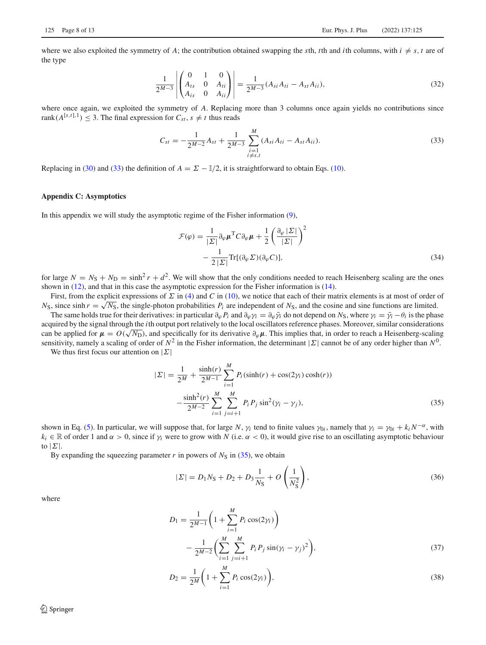where we also exploited the symmetry of *A*; the contribution obtained swapping the *s*th, *t*th and *i*th columns, with  $i \neq s$ , *t* are of the type

$$
\frac{1}{2^{M-3}} \left| \begin{pmatrix} 0 & 1 & 0 \ A_{ts} & 0 & A_{ti} \ A_{is} & 0 & A_{ii} \end{pmatrix} \right| = \frac{1}{2^{M-3}} (A_{si} A_{ti} - A_{st} A_{ii}),
$$
\n(32)

where once again, we exploited the symmetry of A. Replacing more than 3 columns once again yields no contributions since rank( $A^{[s,t],1}$ )  $\leq$  3. The final expression for  $C_{st}$ ,  $s \neq t$  thus reads

<span id="page-7-0"></span>
$$
C_{st} = -\frac{1}{2^{M-2}}A_{st} + \frac{1}{2^{M-3}}\sum_{\substack{i=1\\i\neq s,t}}^{M} (A_{si}A_{ti} - A_{st}A_{ii}).
$$
\n(33)

Replacing in [\(30\)](#page-6-1) and [\(33\)](#page-7-0) the definition of  $A = \Sigma - \mathbb{I}/2$ , it is straightforward to obtain Eqs. [\(10\)](#page-3-3).

## **Appendix C: Asymptotics**

In this appendix we will study the asymptotic regime of the Fisher information [\(9\)](#page-2-1),

$$
\mathcal{F}(\varphi) = \frac{1}{|\Sigma|} \partial_{\varphi} \mu^{T} C \partial_{\varphi} \mu + \frac{1}{2} \left( \frac{\partial_{\varphi} |\Sigma|}{|\Sigma|} \right)^{2} - \frac{1}{2 |\Sigma|} \text{Tr}[(\partial_{\varphi} \Sigma)(\partial_{\varphi} C)],
$$
\n(34)

for large  $N = N_S + N_D = \sinh^2 r + d^2$ . We will show that the only conditions needed to reach Heisenberg scaling are the ones shown in [\(12\)](#page-3-0), and that in this case the asymptotic expression for the Fisher information is [\(14\)](#page-3-1).

First, from the explicit expressions of Σ in [\(4\)](#page-2-2) and *C* in [\(10\)](#page-3-3), we notice that each of their matrix elements is at most of order of  $N_S$ , since sinh  $r = \sqrt{N_S}$ , the single-photon probabilities  $P_i$  are independent of  $N_S$ , and the cosine and sine functions are limited.

The same holds true for their derivatives: in particular  $\partial_{\varphi} P_i$  and  $\partial_{\varphi} \gamma_i = \partial_{\varphi} \bar{\gamma}_i$  do not depend on  $N_S$ , where  $\gamma_i = \bar{\gamma}_i - \theta_i$  is the phase acquired by the signal through the *i*th output port relatively to the local oscillators reference phases. Moreover, similar considerations can be applied for  $\mu = O(\sqrt{N_D})$ , and specifically for its derivative  $\partial_{\varphi}\mu$ . This implies that, in order to reach a Heisenberg-scaling sensitivity, namely a scaling of order of  $N^2$  in the Fisher information, the determinant  $|\Sigma|$  cannot be of any order higher than  $N^0$ .

We thus first focus our attention on  $|\Sigma|$ 

<span id="page-7-1"></span>
$$
|\Sigma| = \frac{1}{2^M} + \frac{\sinh(r)}{2^{M-1}} \sum_{i=1}^M P_i(\sinh(r) + \cos(2\gamma_i)\cosh(r))
$$

$$
- \frac{\sinh^2(r)}{2^{M-2}} \sum_{i=1}^M \sum_{j=i+1}^M P_i P_j \sin^2(\gamma_i - \gamma_j), \tag{35}
$$

shown in Eq. [\(5\)](#page-2-3). In particular, we will suppose that, for large *N*,  $\gamma_i$  tend to finite values  $\gamma_{0i}$ , namely that  $\gamma_i = \gamma_{0i} + k_i N^{-\alpha}$ , with  $k_i \in \mathbb{R}$  of order 1 and  $\alpha > 0$ , since if  $\gamma_i$  were to grow with *N* (i.e.  $\alpha < 0$ ), it would give rise to an oscillating asymptotic behaviour to  $|\Sigma|$ .

By expanding the squeezing parameter  $r$  in powers of  $N<sub>S</sub>$  in [\(35\)](#page-7-1), we obtain

<span id="page-7-2"></span>
$$
|\Sigma| = D_1 N_S + D_2 + D_3 \frac{1}{N_S} + O\left(\frac{1}{N_S^2}\right),\tag{36}
$$

where

$$
D_1 = \frac{1}{2^{M-1}} \left( 1 + \sum_{i=1}^{M} P_i \cos(2\gamma_i) \right)
$$
  
- 
$$
\frac{1}{2^{M-2}} \left( \sum_{i=1}^{M} \sum_{j=i+1}^{M} P_i P_j \sin(\gamma_i - \gamma_j)^2 \right),
$$
 (37)

$$
D_2 = \frac{1}{2^M} \bigg( 1 + \sum_{i=1}^M P_i \cos(2\gamma_i) \bigg),\tag{38}
$$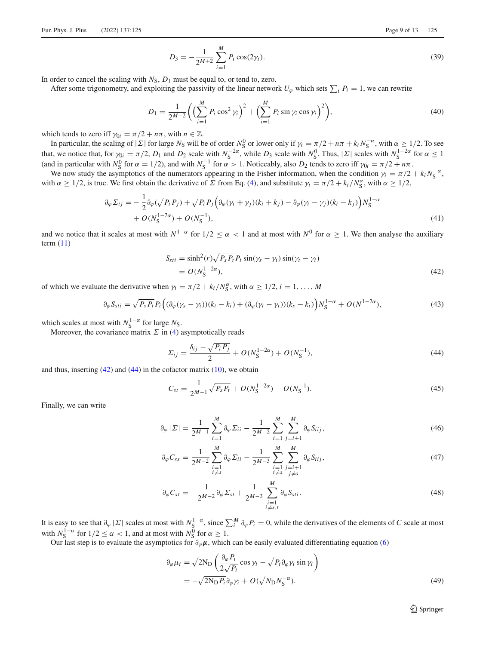$$
D_3 = -\frac{1}{2^{M+2}} \sum_{i=1}^{M} P_i \cos(2\gamma_i). \tag{39}
$$

In order to cancel the scaling with  $N<sub>S</sub>$ ,  $D<sub>1</sub>$  must be equal to, or tend to, zero.

After some trigonometry, and exploiting the passivity of the linear network  $U_{\varphi}$  which sets  $\sum_i P_i = 1$ , we can rewrite

$$
D_1 = \frac{1}{2^{M-2}} \bigg( \Big( \sum_{i=1}^M P_i \cos^2 \gamma_i \Big)^2 + \Big( \sum_{i=1}^M P_i \sin \gamma_i \cos \gamma_i \Big)^2 \bigg), \tag{40}
$$

which tends to zero iff  $\gamma_{0i} = \pi/2 + n\pi$ , with  $n \in \mathbb{Z}$ .

In particular, the scaling of  $|\Sigma|$  for large  $N_S$  will be of order  $N_S^0$  or lower only if  $\gamma_i = \pi/2 + n\pi + k_i N_S^{-\alpha}$ , with  $\alpha \ge 1/2$ . To see that, we notice that, for  $\gamma_{0i} = \pi/2$ ,  $D_1$  and  $D_2$  scale with  $N_S^{-2\alpha}$ , while  $D_3$  scale with  $N_S^0$ . Thus,  $|\Sigma|$  scales with  $N_S^{1-2\alpha}$  for  $\alpha \le 1$ (and in particular with  $N_S^0$  for  $\alpha = 1/2$ ), and with  $N_S^{-1}$  for  $\alpha > 1$ . Noticeably, also  $D_2$  tends to zero iff  $\gamma_{0i} = \pi/2 + n\pi$ .

We now study the asymptotics of the numerators appearing in the Fisher information, when the condition  $\gamma_i = \pi/2 + k_i N_S^{-\alpha}$ , with  $\alpha \ge 1/2$ , is true. We first obtain the derivative of  $\Sigma$  from Eq. [\(4\)](#page-2-2), and substitute  $\gamma_i = \pi/2 + k_i/N_s^{\alpha}$ , with  $\alpha \ge 1/2$ ,

$$
\partial_{\varphi} \Sigma_{ij} = -\frac{1}{2} \partial_{\varphi} (\sqrt{P_i P_j}) + \sqrt{P_i P_j} \left( \partial_{\varphi} (\gamma_i + \gamma_j)(k_i + k_j) - \partial_{\varphi} (\gamma_i - \gamma_j)(k_i - k_j) \right) N_S^{1-\alpha} + O(N_S^{1-2\alpha}) + O(N_S^{-1}), \tag{41}
$$

and we notice that it scales at most with  $N^{1-\alpha}$  for  $1/2 \le \alpha < 1$  and at most with  $N^0$  for  $\alpha \ge 1$ . We then analyse the auxiliary term [\(11\)](#page-3-4)

<span id="page-8-3"></span><span id="page-8-2"></span><span id="page-8-0"></span>
$$
S_{sti} = \sinh^2(r)\sqrt{P_s P_t} P_i \sin(\gamma_s - \gamma_i) \sin(\gamma_t - \gamma_i)
$$
  
=  $O(N_S^{1-2\alpha})$ , (42)

of which we evaluate the derivative when  $\gamma_i = \pi/2 + k_i/N_s^{\alpha}$ , with  $\alpha \ge 1/2$ ,  $i = 1, ..., M_s$ 

$$
\partial_{\varphi} S_{sti} = \sqrt{P_s P_t} P_i \Big( (\partial_{\varphi} (\gamma_s - \gamma_i)) (k_t - k_i) + (\partial_{\varphi} (\gamma_t - \gamma_i)) (k_s - k_i) \Big) N_S^{1-\alpha} + O(N^{1-2\alpha}), \tag{43}
$$

which scales at most with  $N_S^{1-\alpha}$  for large  $N_S$ .

Moreover, the covariance matrix  $\Sigma$  in [\(4\)](#page-2-2) asymptotically reads

<span id="page-8-1"></span>
$$
\Sigma_{ij} = \frac{\delta_{ij} - \sqrt{P_i P_j}}{2} + O(N_S^{1-2\alpha}) + O(N_S^{-1}),\tag{44}
$$

and thus, inserting  $(42)$  and  $(44)$  in the cofactor matrix  $(10)$ , we obtain

<span id="page-8-4"></span>
$$
C_{st} = \frac{1}{2^{M-1}}\sqrt{P_s P_t} + O(N_S^{1-2\alpha}) + O(N_S^{-1}).
$$
\n(45)

Finally, we can write

$$
\partial_{\varphi} |\Sigma| = \frac{1}{2^{M-1}} \sum_{i=1}^{M} \partial_{\varphi} \Sigma_{ii} - \frac{1}{2^{M-2}} \sum_{i=1}^{M} \sum_{j=i+1}^{M} \partial_{\varphi} S_{iij}, \tag{46}
$$

$$
\partial_{\varphi} C_{ss} = \frac{1}{2^{M-2}} \sum_{\substack{i=1 \\ i \neq s}}^{M} \partial_{\varphi} \Sigma_{ii} - \frac{1}{2^{M-3}} \sum_{\substack{i=1 \\ i \neq s}}^{M} \sum_{\substack{j=i+1 \\ j \neq s}}^{M} \partial_{\varphi} S_{ijj}, \tag{47}
$$

$$
\partial_{\varphi} C_{st} = -\frac{1}{2^{M-2}} \partial_{\varphi} \Sigma_{st} + \frac{1}{2^{M-3}} \sum_{\substack{i=1 \\ i \neq s,t}}^{M} \partial_{\varphi} S_{sti}.
$$
\n
$$
(48)
$$

It is easy to see that  $\partial_{\varphi} | \Sigma |$  scales at most with  $N_S^{1-\alpha}$ , since  $\sum_i^M \partial_{\varphi} P_i = 0$ , while the derivatives of the elements of *C* scale at most with  $N_S^{1-\alpha}$  for  $1/2 \le \alpha < 1$ , and at most with  $N_S^0$  for  $\alpha \ge 1$ .

Our last step is to evaluate the asymptotics for  $\partial_{\varphi}\mu$ , which can be easily evaluated differentiating equation [\(6\)](#page-2-5)

<span id="page-8-5"></span>
$$
\partial_{\varphi} \mu_i = \sqrt{2N_D} \left( \frac{\partial_{\varphi} P_i}{2\sqrt{P_i}} \cos \gamma_i - \sqrt{P_i} \partial_{\varphi} \gamma_i \sin \gamma_i \right) \n= -\sqrt{2N_D P_i} \partial_{\varphi} \gamma_i + O(\sqrt{N_D} N_S^{-\alpha}).
$$
\n(49)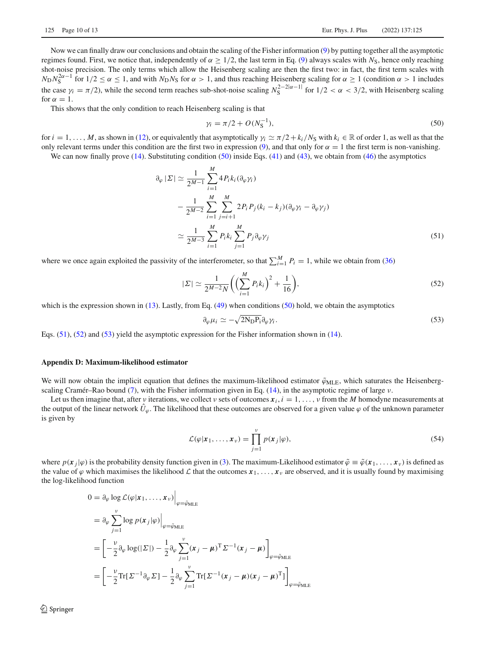Now we can finally draw our conclusions and obtain the scaling of the Fisher information [\(9\)](#page-2-1) by putting together all the asymptotic regimes found. First, we notice that, independently of  $\alpha > 1/2$ , the last term in Eq. [\(9\)](#page-2-1) always scales with *N*<sub>S</sub>, hence only reaching shot-noise precision. The only terms which allow the Heisenberg scaling are then the first two: in fact, the first term scales with  $N_D N_S^{2\alpha-1}$  for  $1/2 \le \alpha \le 1$ , and with  $N_D N_S$  for  $\alpha > 1$ , and thus reaching Heisenberg scaling for  $\alpha \ge 1$  (condition  $\alpha > 1$  includes the case  $\gamma_i = \pi/2$ ), while the second term reaches sub-shot-noise scaling  $N_S^{2-2|\alpha-1|}$  for  $1/2 < \alpha < 3/2$ , with Heisenberg scaling for  $\alpha = 1$ .

This shows that the only condition to reach Heisenberg scaling is that

<span id="page-9-1"></span><span id="page-9-0"></span>
$$
\gamma_i = \pi/2 + O(N_S^{-1}),\tag{50}
$$

for  $i = 1, \ldots, M$ , as shown in [\(12\)](#page-3-0), or equivalently that asymptotically  $\gamma_i \simeq \pi/2 + k_i/N_s$  with  $k_i \in \mathbb{R}$  of order 1, as well as that the only relevant terms under this condition are the first two in expression [\(9\)](#page-2-1), and that only for  $\alpha = 1$  the first term is non-vanishing.

We can now finally prove  $(14)$ . Substituting condition  $(50)$  inside Eqs.  $(41)$  and  $(43)$ , we obtain from  $(46)$  the asymptotics

$$
\partial_{\varphi} |\Sigma| \simeq \frac{1}{2^{M-1}} \sum_{i=1}^{M} 4P_i k_i (\partial_{\varphi} \gamma_i)
$$
  

$$
- \frac{1}{2^{M-2}} \sum_{i=1}^{M} \sum_{j=i+1}^{M} 2P_i P_j (k_i - k_j) (\partial_{\varphi} \gamma_i - \partial_{\varphi} \gamma_j)
$$
  

$$
\simeq \frac{1}{2^{M-3}} \sum_{i=1}^{M} P_i k_i \sum_{j=1}^{M} P_j \partial_{\varphi} \gamma_j
$$
(51)

where we once again exploited the passivity of the interferometer, so that  $\sum_{i=1}^{M} P_i = 1$ , while we obtain from [\(36\)](#page-7-2)

<span id="page-9-2"></span>
$$
|\Sigma| \simeq \frac{1}{2^{M-2}N} \bigg( \Big( \sum_{i=1}^{M} P_i k_i \Big)^2 + \frac{1}{16} \bigg), \tag{52}
$$

which is the expression shown in [\(13\)](#page-3-2). Lastly, from Eq. [\(49\)](#page-8-5) when conditions [\(50\)](#page-9-0) hold, we obtain the asymptotics

<span id="page-9-3"></span>
$$
\partial_{\varphi} \mu_i \simeq -\sqrt{2N_{\rm D} P_{\rm i}} \partial_{\varphi} \gamma_i. \tag{53}
$$

Eqs. [\(51\)](#page-9-1), [\(52\)](#page-9-2) and [\(53\)](#page-9-3) yield the asymptotic expression for the Fisher information shown in [\(14\)](#page-3-1).

#### **Appendix D: Maximum-likelihood estimator**

We will now obtain the implicit equation that defines the maximum-likelihood estimator  $\tilde{\varphi}_{MLE}$ , which saturates the Heisenberg-scaling Cramér–Rao bound [\(7\)](#page-2-4), with the Fisher information given in Eq. [\(14\)](#page-3-1), in the asymptotic regime of large  $\nu$ .

Let us then imagine that, after *v* iterations, we collect *v* sets of outcomes  $x_i$ ,  $i = 1, \ldots, \nu$  from the *M* homodyne measurements at the output of the linear network  $\hat{U}_{\varphi}$ . The likelihood that these outcomes are observed for a given value  $\varphi$  of the unknown parameter is given by

$$
\mathcal{L}(\varphi|\mathbf{x}_1,\ldots,\mathbf{x}_\nu) = \prod_{j=1}^\nu p(\mathbf{x}_j|\varphi),\tag{54}
$$

where  $p(x_j|\varphi)$  is the probability density function given in [\(3\)](#page-2-0). The maximum-Likelihood estimator  $\tilde{\varphi} \equiv \tilde{\varphi}(x_1,\ldots,x_\nu)$  is defined as the value of  $\varphi$  which maximises the likelihood  $\mathcal L$  that the outcomes  $x_1, \ldots, x_\nu$  are observed, and it is usually found by maximising the log-likelihood function

$$
0 = \partial_{\varphi} \log \mathcal{L}(\varphi | \mathbf{x}_{1}, ..., \mathbf{x}_{\nu})\Big|_{\varphi = \tilde{\varphi}_{MLE}}
$$
  
\n
$$
= \partial_{\varphi} \sum_{j=1}^{\nu} \log p(\mathbf{x}_{j} | \varphi)\Big|_{\varphi = \tilde{\varphi}_{MLE}}
$$
  
\n
$$
= \left[ -\frac{\nu}{2} \partial_{\varphi} \log(|\Sigma|) - \frac{1}{2} \partial_{\varphi} \sum_{j=1}^{\nu} (\mathbf{x}_{j} - \mu)^{T} \Sigma^{-1} (\mathbf{x}_{j} - \mu) \right]_{\varphi = \tilde{\varphi}_{MLE}}
$$
  
\n
$$
= \left[ -\frac{\nu}{2} \text{Tr}[\Sigma^{-1} \partial_{\varphi} \Sigma] - \frac{1}{2} \partial_{\varphi} \sum_{j=1}^{\nu} \text{Tr}[\Sigma^{-1} (\mathbf{x}_{j} - \mu) (\mathbf{x}_{j} - \mu)^{T}] \right]_{\varphi = \tilde{\varphi}_{MLE}}
$$

<sup>2</sup> Springer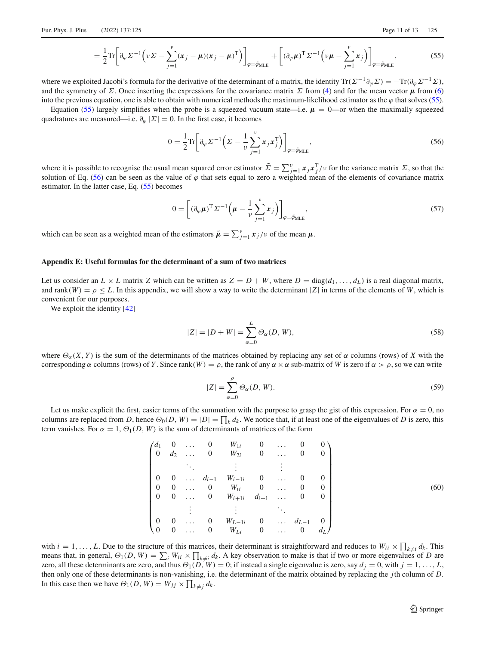$$
= \frac{1}{2} \text{Tr} \left[ \partial_{\varphi} \Sigma^{-1} \left( \nu \Sigma - \sum_{j=1}^{\nu} (\boldsymbol{x}_{j} - \boldsymbol{\mu}) (\boldsymbol{x}_{j} - \boldsymbol{\mu})^{\text{T}} \right) \right]_{\varphi = \tilde{\varphi}_{\text{MLE}}} + \left[ (\partial_{\varphi} \boldsymbol{\mu})^{\text{T}} \Sigma^{-1} \left( \nu \boldsymbol{\mu} - \sum_{j=1}^{\nu} \boldsymbol{x}_{j} \right) \right]_{\varphi = \tilde{\varphi}_{\text{MLE}}}, \tag{55}
$$

where we exploited Jacobi's formula for the derivative of the determinant of a matrix, the identity Tr( $\Sigma^{-1}\partial_{\omega}\Sigma$ ) = −Tr( $\partial_{\omega}\Sigma^{-1}\Sigma$ ), and the symmetry of  $\Sigma$ . Once inserting the expressions for the covariance matrix  $\Sigma$  from [\(4\)](#page-2-2) and for the mean vector  $\mu$  from [\(6\)](#page-2-5) into the previous equation, one is able to obtain with numerical methods the maximum-likelihood estimator as the  $\varphi$  that solves [\(55\)](#page-10-0).

Equation [\(55\)](#page-10-0) largely simplifies when the probe is a squeezed vacuum state—i.e.  $\mu = 0$ —or when the maximally squeezed quadratures are measured—i.e.  $\partial_{\varphi} |\Sigma| = 0$ . In the first case, it becomes

<span id="page-10-1"></span><span id="page-10-0"></span>
$$
0 = \frac{1}{2} \text{Tr} \left[ \partial_{\varphi} \Sigma^{-1} \left( \Sigma - \frac{1}{\nu} \sum_{j=1}^{\nu} x_j x_j^{\text{T}} \right) \right]_{\varphi = \tilde{\varphi}_{\text{MLE}}}, \tag{56}
$$

where it is possible to recognise the usual mean squared error estimator  $\tilde{\Sigma} = \sum_{j=1}^{v} x_j x_j^T/v$  for the variance matrix  $\Sigma$ , so that the solution of Eq. [\(56\)](#page-10-1) can be seen as the value of  $\varphi$  that sets equal to zero a weighted mean of the elements of covariance matrix estimator. In the latter case, Eq. [\(55\)](#page-10-0) becomes

$$
0 = \left[ (\partial_{\varphi} \mu)^{\mathrm{T}} \Sigma^{-1} \left( \mu - \frac{1}{\nu} \sum_{j=1}^{\nu} x_j \right) \right]_{\varphi = \tilde{\varphi}_{\mathrm{MLE}}},\tag{57}
$$

which can be seen as a weighted mean of the estimators  $\tilde{\mu} = \sum_{j=1}^{\nu} x_j / \nu$  of the mean  $\mu$ .

#### **Appendix E: Useful formulas for the determinant of a sum of two matrices**

Let us consider an  $L \times L$  matrix *Z* which can be written as  $Z = D + W$ , where  $D = \text{diag}(d_1, \ldots, d_L)$  is a real diagonal matrix, and rank(*W*) =  $\rho \le L$ . In this appendix, we will show a way to write the determinant |*Z*| in terms of the elements of *W*, which is convenient for our purposes.

We exploit the identity [\[42](#page-12-18)]

$$
|Z| = |D + W| = \sum_{\alpha=0}^{L} \Theta_{\alpha}(D, W),
$$
\n(58)

where  $\Theta_{\alpha}(X, Y)$  is the sum of the determinants of the matrices obtained by replacing any set of  $\alpha$  columns (rows) of *X* with the corresponding  $\alpha$  columns (rows) of *Y*. Since rank(*W*) =  $\rho$ , the rank of any  $\alpha \times \alpha$  sub-matrix of *W* is zero if  $\alpha > \rho$ , so we can write

$$
|Z| = \sum_{\alpha=0}^{\rho} \Theta_{\alpha}(D, W). \tag{59}
$$

Let us make explicit the first, easier terms of the summation with the purpose to grasp the gist of this expression. For  $\alpha = 0$ , no columns are replaced from *D*, hence  $\Theta_0(D, W) = |D| = \prod_k d_k$ . We notice that, if at least one of the eigenvalues of *D* is zero, this term vanishes. For  $\alpha = 1$ ,  $\Theta_1(D, W)$  is the sum of determinants of matrices of the form

$$
\begin{pmatrix}\nd_1 & 0 & \dots & 0 & W_{1i} & 0 & \dots & 0 & 0 \\
0 & d_2 & \dots & 0 & W_{2i} & 0 & \dots & 0 & 0 \\
\vdots & \vdots & \vdots & & \vdots & & \vdots & & \vdots \\
0 & 0 & \dots & d_{i-1} & W_{i-1i} & 0 & \dots & 0 & 0 \\
0 & 0 & \dots & 0 & W_{ii} & 0 & \dots & 0 & 0 \\
0 & 0 & \dots & 0 & W_{i+1i} & d_{i+1} & \dots & 0 & 0 \\
\vdots & \vdots & \vdots & & \ddots & & \vdots & \vdots \\
0 & 0 & \dots & 0 & W_{L-1i} & 0 & \dots & d_{L-1} & 0 \\
0 & 0 & \dots & 0 & W_{Li} & 0 & \dots & 0 & d_L\n\end{pmatrix}
$$
\n(60)

with  $i = 1, \ldots, L$ . Due to the structure of this matrices, their determinant is straightforward and reduces to  $W_{ii} \times \prod_{k \neq i} d_k$ . This means that, in general,  $\Theta_1(D, W) = \sum_i W_{ii} \times \prod_{k \neq i} d_k$ . A key observation to make is that if two or more eigenvalues of *D* are zero, all these determinants are zero, and thus  $\Theta_1(D, W) = 0$ ; if instead a single eigenvalue is zero, say  $d_j = 0$ , with  $j = 1, \ldots, L$ , then only one of these determinants is non-vanishing, i.e. the determinant of the matrix obtained by replacing the *j*th column of *D*. In this case then we have  $\Theta_1(D, W) = W_{jj} \times \prod_{k \neq j} d_k$ .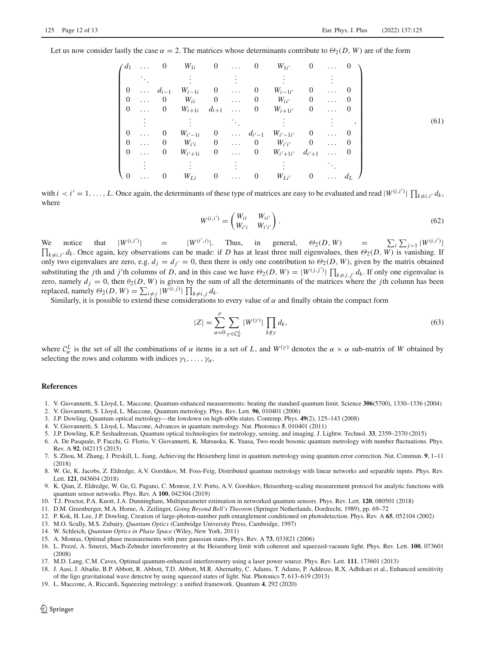Let us now consider lastly the case  $\alpha = 2$ . The matrices whose determinants contribute to  $\Theta_2(D, W)$  are of the form

$$
\begin{pmatrix}\n d_1 & \dots & 0 & W_{1i} & 0 & \dots & 0 & W_{1i'} & 0 & \dots & 0 \\
 \vdots & \vdots & \vdots & \vdots & \vdots & \vdots & \vdots & \vdots \\
 0 & \dots & d_{i-1} & W_{i-1i} & 0 & \dots & 0 & W_{i-1i'} & 0 & \dots & 0 \\
 0 & \dots & 0 & W_{ii} & 0 & \dots & 0 & W_{ii'} & 0 & \dots & 0 \\
 0 & \dots & 0 & W_{i+1i} & d_{i+1} & \dots & 0 & W_{i+1i'} & 0 & \dots & 0 \\
 \vdots & \vdots & \vdots & \ddots & \vdots & \vdots & \vdots & \vdots \\
 0 & \dots & 0 & W_{i'-1i} & 0 & \dots & d_{i'-1} & W_{i'-1i'} & 0 & \dots & 0 \\
 0 & \dots & 0 & W_{i'i} & 0 & \dots & 0 & W_{i'i'} & 0 & \dots & 0 \\
 0 & \dots & 0 & W_{i'+1i} & 0 & \dots & 0 & W_{i'+1i'} & d_{i'+1} & \dots & 0 \\
 \vdots & \vdots & \vdots & \vdots & \vdots & \vdots & \vdots & \ddots \\
 0 & \dots & 0 & W_{Li} & 0 & \dots & 0 & W_{Li'} & 0 & \dots & d_L\n\end{pmatrix}
$$
\n(61)

with  $i < i' = 1, \ldots, L$ . Once again, the determinants of these type of matrices are easy to be evaluated and read  $|W^{(i,i')}|\prod_{k \neq i,i'} d_k$ , where

$$
W^{(i,i')} = \begin{pmatrix} W_{ii} & W_{ii'} \\ W_{i'i} & W_{i'i'} \end{pmatrix}.
$$
 (62)

We notice that  $|W^{(i,i)}|$  =  $|W^{(i',i)}|$ . Thus, in general,  $\Theta_2(D, W)$  =  $\sum_i \sum_{j>1} |W^{(i,i')}|$ П |  $\chi_{k\neq i,i'}$  *d<sub>k</sub>*. Once again, key observations can be made: if *D* has at least three null eigenvalues, then  $\Theta_2(D, W)$  is vanishing. If only two eigenvalues are zero, e.g.  $d_j = d_{j'} = 0$ , then there is only one contribution to  $\Theta_2(D, W)$ , given by the matrix obtained substituting the *j*th and *j*'th columns of *D*, and in this case we have  $\Theta_2(D, W) = |W^{(j,j')}| \prod_{k \neq j, j'} d_k$ . If only one eigenvalue is zero, namely  $d_j = 0$ , then  $\theta_2(D, W)$  is given by the sum of all the determinants of the matrices where the *j*th column has been replaced, namely  $\Theta_2(D, W) = \sum_{i \neq j} |W^{(i,j)}| \prod_{k \neq i, j} d_k$ .<br>Similarly, it is possible to extend these considerations to every value of  $\alpha$  and finally obtain the compact form

$$
|Z| = \sum_{\alpha=0}^{\rho} \sum_{\gamma \in \mathcal{C}_{\alpha}^L} |W^{(\gamma)}| \prod_{k \notin \gamma} d_k,
$$
\n(63)

where  $C^L_\alpha$  is the set of all the combinations of  $\alpha$  items in a set of *L*, and  $W^{(\gamma)}$  denotes the  $\alpha \times \alpha$  sub-matrix of *W* obtained by selecting the rows and columns with indices  $\gamma_1, \ldots, \gamma_\alpha$ .

#### **References**

- <span id="page-11-0"></span>1. V. Giovannetti, S. Lloyd, L. Maccone, Quantum-enhanced measurements: beating the standard quantum limit. Science **306**(5700), 1330–1336 (2004)
- 2. V. Giovannetti, S. Lloyd, L. Maccone, Quantum metrology. Phys. Rev. Lett. **96**, 010401 (2006)
- <span id="page-11-2"></span>3. J.P. Dowling, Quantum optical metrology—the lowdown on high-n00n states. Contemp. Phys. **49**(2), 125–143 (2008)
- 4. V. Giovannetti, S. Lloyd, L. Maccone, Advances in quantum metrology. Nat. Photonics **5**, 010401 (2011)
- <span id="page-11-3"></span>5. J.P. Dowling, K.P. Seshadreesan, Quantum optical technologies for metrology, sensing, and imaging. J. Lightw. Technol. **33**, 2359–2370 (2015)
- 6. A. De Pasquale, P. Facchi, G. Florio, V. Giovannetti, K. Matsuoka, K. Yuasa, Two-mode bosonic quantum metrology with number fluctuations. Phys. Rev. A **92**, 042115 (2015)
- 7. S. Zhou, M. Zhang, J. Preskill, L. Jiang, Achieving the Heisenberg limit in quantum metrology using quantum error correction. Nat. Commun. **9**, 1–11 (2018)
- <span id="page-11-12"></span>8. W. Ge, K. Jacobs, Z. Eldredge, A.V. Gorshkov, M. Foss-Feig, Distributed quantum metrology with linear networks and separable inputs. Phys. Rev. Lett. **121**, 043604 (2018)
- <span id="page-11-1"></span>9. K. Qian, Z. Eldredge, W. Ge, G. Pagano, C. Monroe, J.V. Porto, A.V. Gorshkov, Heisenberg-scaling measurement protocol for analytic functions with quantum sensor networks. Phys. Rev. A **100**, 042304 (2019)
- <span id="page-11-4"></span>10. T.J. Proctor, P.A. Knott, J.A. Dunningham, Multiparameter estimation in networked quantum sensors. Phys. Rev. Lett. **120**, 080501 (2018)
- <span id="page-11-5"></span>11. D.M. Greenberger, M.A. Horne, A. Zeilinger, *Going Beyond Bell's Theorem* (Springer Netherlands, Dordrecht, 1989), pp. 69–72
- <span id="page-11-6"></span>12. P. Kok, H. Lee, J.P. Dowling, Creation of large-photon-number path entanglement conditioned on photodetection. Phys. Rev. A **65**, 052104 (2002)
- <span id="page-11-7"></span>13. M.O. Scully, M.S. Zubairy, *Quantum Optics* (Cambridge University Press, Cambridge, 1997)
- <span id="page-11-8"></span>14. W. Schleich, *Quantum Optics in Phase Space* (Wiley, New York, 2011)
- <span id="page-11-9"></span>15. A. Monras, Optimal phase measurements with pure gaussian states. Phys. Rev. A **73**, 033821 (2006)
- 16. L. Pezzé, A. Smerzi, Mach-Zehnder interferometry at the Heisenberg limit with coherent and squeezed-vacuum light. Phys. Rev. Lett. **100**, 073601 (2008)
- 17. M.D. Lang, C.M. Caves, Optimal quantum-enhanced interferometry using a laser power source. Phys. Rev. Lett. **111**, 173601 (2013)
- <span id="page-11-11"></span>18. J. Aasi, J. Abadie, B.P. Abbott, R. Abbott, T.D. Abbott, M.R. Abernathy, C. Adams, T. Adams, P. Addesso, R.X. Adhikari et al., Enhanced sensitivity of the ligo gravitational wave detector by using squeezed states of light. Nat. Photonics **7**, 613–619 (2013)
- <span id="page-11-10"></span>19. L. Maccone, A. Riccardi, Squeezing metrology: a unified framework. Quantum **4**, 292 (2020)